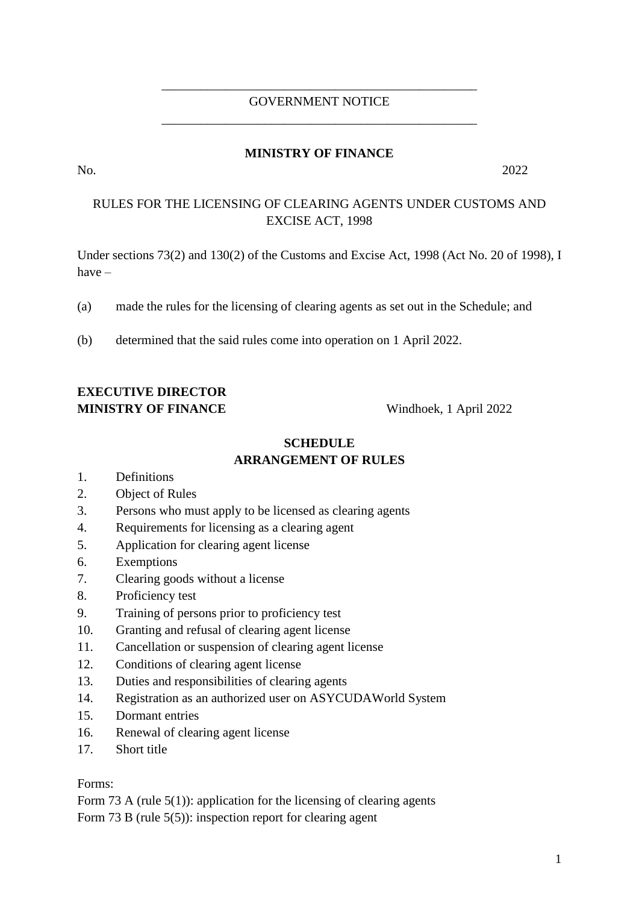### \_\_\_\_\_\_\_\_\_\_\_\_\_\_\_\_\_\_\_\_\_\_\_\_\_\_\_\_\_\_\_\_\_\_\_\_\_\_\_\_\_\_\_\_\_\_\_\_\_ GOVERNMENT NOTICE \_\_\_\_\_\_\_\_\_\_\_\_\_\_\_\_\_\_\_\_\_\_\_\_\_\_\_\_\_\_\_\_\_\_\_\_\_\_\_\_\_\_\_\_\_\_\_\_\_

### **MINISTRY OF FINANCE**

No. 2022

### RULES FOR THE LICENSING OF CLEARING AGENTS UNDER CUSTOMS AND EXCISE ACT, 1998

Under sections 73(2) and 130(2) of the Customs and Excise Act, 1998 (Act No. 20 of 1998), I have –

(a) made the rules for the licensing of clearing agents as set out in the Schedule; and

(b) determined that the said rules come into operation on 1 April 2022.

## **EXECUTIVE DIRECTOR MINISTRY OF FINANCE** Windhoek, 1 April 2022

### **SCHEDULE ARRANGEMENT OF RULES**

- 1. Definitions
- 2. Object of Rules
- 3. Persons who must apply to be licensed as clearing agents
- 4. Requirements for licensing as a clearing agent
- 5. Application for clearing agent license
- 6. Exemptions
- 7. Clearing goods without a license
- 8. Proficiency test
- 9. Training of persons prior to proficiency test
- 10. Granting and refusal of clearing agent license
- 11. Cancellation or suspension of clearing agent license
- 12. Conditions of clearing agent license
- 13. Duties and responsibilities of clearing agents
- 14. Registration as an authorized user on ASYCUDAWorld System
- 15. Dormant entries
- 16. Renewal of clearing agent license
- 17. Short title

Forms:

Form 73 A (rule  $5(1)$ ): application for the licensing of clearing agents Form 73 B (rule 5(5)): inspection report for clearing agent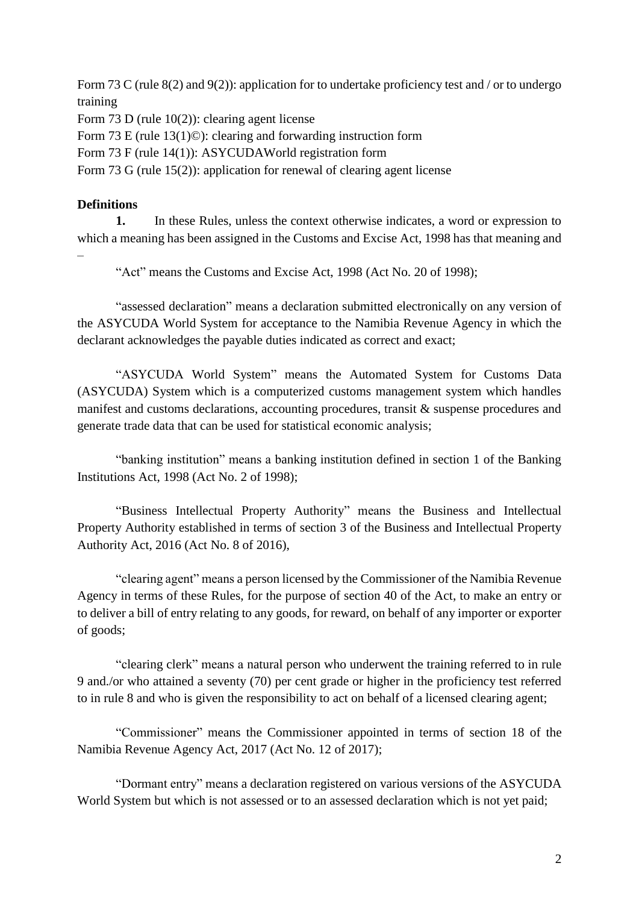Form 73 C (rule 8(2) and 9(2)): application for to undertake proficiency test and / or to undergo training Form 73 D (rule 10(2)): clearing agent license

Form 73 E (rule 13(1)©): clearing and forwarding instruction form

Form 73 F (rule 14(1)): ASYCUDAWorld registration form

Form 73 G (rule 15(2)): application for renewal of clearing agent license

### **Definitions**

**1.** In these Rules, unless the context otherwise indicates, a word or expression to which a meaning has been assigned in the Customs and Excise Act, 1998 has that meaning and –

"Act" means the Customs and Excise Act, 1998 (Act No. 20 of 1998);

"assessed declaration" means a declaration submitted electronically on any version of the ASYCUDA World System for acceptance to the Namibia Revenue Agency in which the declarant acknowledges the payable duties indicated as correct and exact;

"ASYCUDA World System" means the Automated System for Customs Data (ASYCUDA) System which is a computerized customs management system which handles manifest and customs declarations, accounting procedures, transit & suspense procedures and generate trade data that can be used for statistical economic analysis;

"banking institution" means a banking institution defined in section 1 of the Banking Institutions Act, 1998 (Act No. 2 of 1998);

"Business Intellectual Property Authority" means the Business and Intellectual Property Authority established in terms of section 3 of the Business and Intellectual Property Authority Act, 2016 (Act No. 8 of 2016),

"clearing agent" means a person licensed by the Commissioner of the Namibia Revenue Agency in terms of these Rules, for the purpose of section 40 of the Act, to make an entry or to deliver a bill of entry relating to any goods, for reward, on behalf of any importer or exporter of goods;

"clearing clerk" means a natural person who underwent the training referred to in rule 9 and./or who attained a seventy (70) per cent grade or higher in the proficiency test referred to in rule 8 and who is given the responsibility to act on behalf of a licensed clearing agent;

"Commissioner" means the Commissioner appointed in terms of section 18 of the Namibia Revenue Agency Act, 2017 (Act No. 12 of 2017);

"Dormant entry" means a declaration registered on various versions of the ASYCUDA World System but which is not assessed or to an assessed declaration which is not yet paid;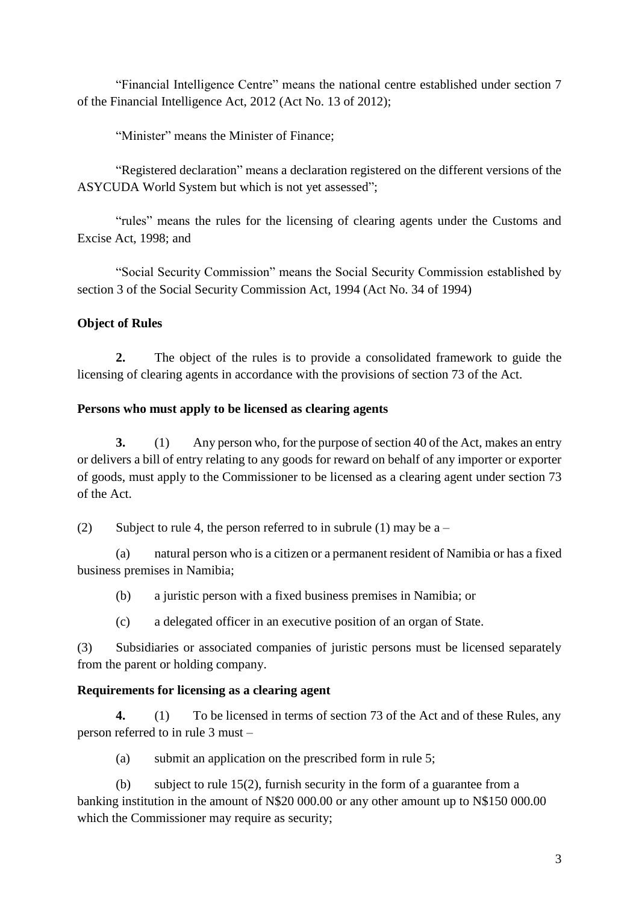"Financial Intelligence Centre" means the national centre established under section 7 of the Financial Intelligence Act, 2012 (Act No. 13 of 2012);

"Minister" means the Minister of Finance;

"Registered declaration" means a declaration registered on the different versions of the ASYCUDA World System but which is not yet assessed";

"rules" means the rules for the licensing of clearing agents under the Customs and Excise Act, 1998; and

"Social Security Commission" means the Social Security Commission established by section 3 of the Social Security Commission Act, 1994 (Act No. 34 of 1994)

### **Object of Rules**

**2.** The object of the rules is to provide a consolidated framework to guide the licensing of clearing agents in accordance with the provisions of section 73 of the Act.

#### **Persons who must apply to be licensed as clearing agents**

**3.** (1) Any person who, for the purpose of section 40 of the Act, makes an entry or delivers a bill of entry relating to any goods for reward on behalf of any importer or exporter of goods, must apply to the Commissioner to be licensed as a clearing agent under section 73 of the Act.

(2) Subject to rule 4, the person referred to in subrule (1) may be  $a -$ 

(a) natural person who is a citizen or a permanent resident of Namibia or has a fixed business premises in Namibia;

(b) a juristic person with a fixed business premises in Namibia; or

(c) a delegated officer in an executive position of an organ of State.

(3) Subsidiaries or associated companies of juristic persons must be licensed separately from the parent or holding company.

### **Requirements for licensing as a clearing agent**

**4.** (1) To be licensed in terms of section 73 of the Act and of these Rules, any person referred to in rule 3 must –

(a) submit an application on the prescribed form in rule 5;

(b) subject to rule 15(2), furnish security in the form of a guarantee from a banking institution in the amount of N\$20 000.00 or any other amount up to N\$150 000.00 which the Commissioner may require as security;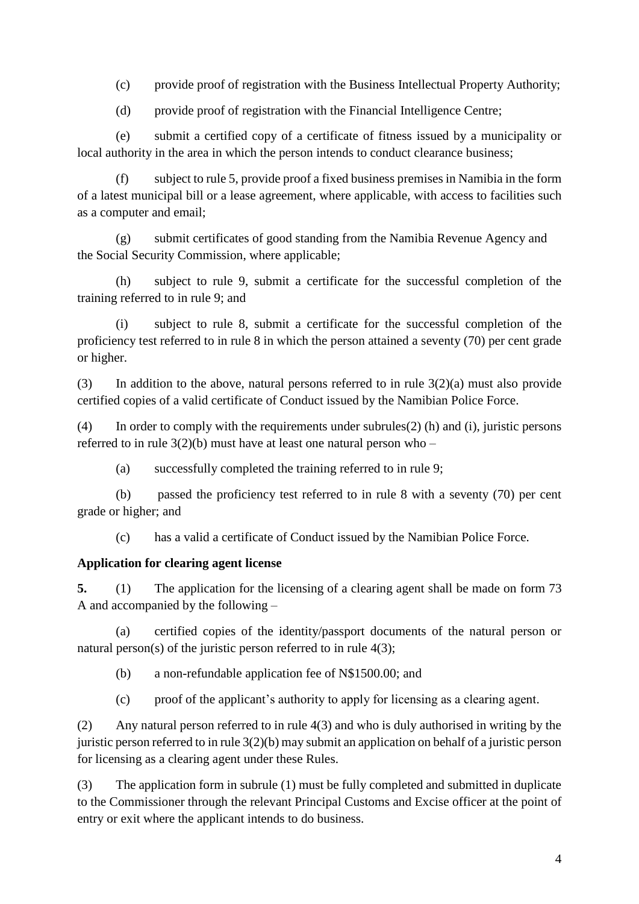(c) provide proof of registration with the Business Intellectual Property Authority;

(d) provide proof of registration with the Financial Intelligence Centre;

(e) submit a certified copy of a certificate of fitness issued by a municipality or local authority in the area in which the person intends to conduct clearance business;

(f) subject to rule 5, provide proof a fixed business premises in Namibia in the form of a latest municipal bill or a lease agreement, where applicable, with access to facilities such as a computer and email;

(g) submit certificates of good standing from the Namibia Revenue Agency and the Social Security Commission, where applicable;

(h) subject to rule 9, submit a certificate for the successful completion of the training referred to in rule 9; and

(i) subject to rule 8, submit a certificate for the successful completion of the proficiency test referred to in rule 8 in which the person attained a seventy (70) per cent grade or higher.

(3) In addition to the above, natural persons referred to in rule  $3(2)(a)$  must also provide certified copies of a valid certificate of Conduct issued by the Namibian Police Force.

(4) In order to comply with the requirements under subrules(2) (h) and (i), juristic persons referred to in rule  $3(2)(b)$  must have at least one natural person who –

(a) successfully completed the training referred to in rule 9;

(b) passed the proficiency test referred to in rule 8 with a seventy (70) per cent grade or higher; and

(c) has a valid a certificate of Conduct issued by the Namibian Police Force.

## **Application for clearing agent license**

**5.** (1) The application for the licensing of a clearing agent shall be made on form 73 A and accompanied by the following –

(a) certified copies of the identity/passport documents of the natural person or natural person(s) of the juristic person referred to in rule 4(3);

(b) a non-refundable application fee of N\$1500.00; and

(c) proof of the applicant's authority to apply for licensing as a clearing agent.

(2) Any natural person referred to in rule 4(3) and who is duly authorised in writing by the juristic person referred to in rule 3(2)(b) may submit an application on behalf of a juristic person for licensing as a clearing agent under these Rules.

(3) The application form in subrule (1) must be fully completed and submitted in duplicate to the Commissioner through the relevant Principal Customs and Excise officer at the point of entry or exit where the applicant intends to do business.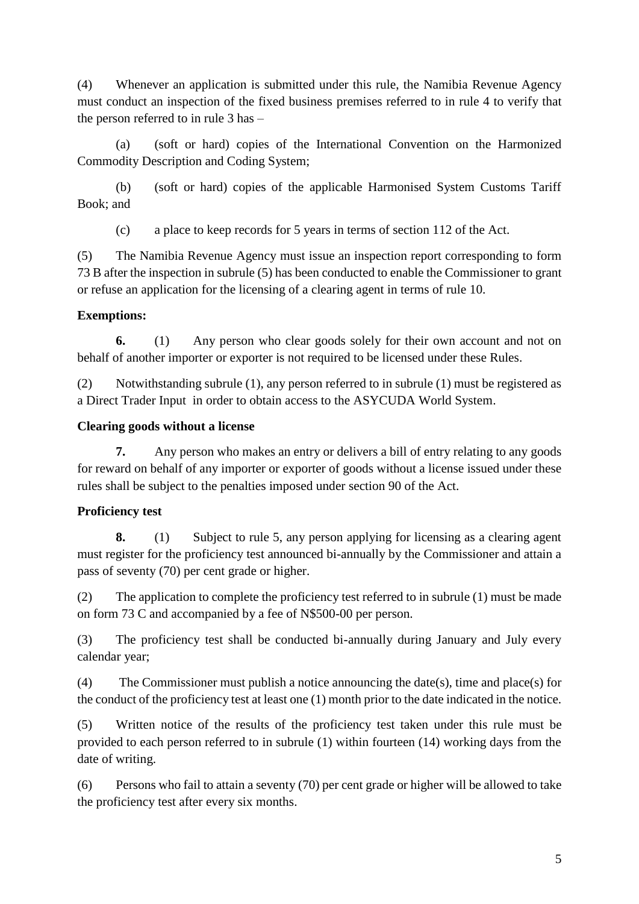(4) Whenever an application is submitted under this rule, the Namibia Revenue Agency must conduct an inspection of the fixed business premises referred to in rule 4 to verify that the person referred to in rule 3 has –

(a) (soft or hard) copies of the International Convention on the Harmonized Commodity Description and Coding System;

(b) (soft or hard) copies of the applicable Harmonised System Customs Tariff Book; and

(c) a place to keep records for 5 years in terms of section 112 of the Act.

(5) The Namibia Revenue Agency must issue an inspection report corresponding to form 73 B after the inspection in subrule (5) has been conducted to enable the Commissioner to grant or refuse an application for the licensing of a clearing agent in terms of rule 10.

# **Exemptions:**

**6.** (1) Any person who clear goods solely for their own account and not on behalf of another importer or exporter is not required to be licensed under these Rules.

(2) Notwithstanding subrule (1), any person referred to in subrule (1) must be registered as a Direct Trader Input in order to obtain access to the ASYCUDA World System.

# **Clearing goods without a license**

**7.** Any person who makes an entry or delivers a bill of entry relating to any goods for reward on behalf of any importer or exporter of goods without a license issued under these rules shall be subject to the penalties imposed under section 90 of the Act.

# **Proficiency test**

**8.** (1) Subject to rule 5, any person applying for licensing as a clearing agent must register for the proficiency test announced bi-annually by the Commissioner and attain a pass of seventy (70) per cent grade or higher.

(2) The application to complete the proficiency test referred to in subrule (1) must be made on form 73 C and accompanied by a fee of N\$500-00 per person.

(3) The proficiency test shall be conducted bi-annually during January and July every calendar year;

(4) The Commissioner must publish a notice announcing the date(s), time and place(s) for the conduct of the proficiency test at least one (1) month prior to the date indicated in the notice.

(5) Written notice of the results of the proficiency test taken under this rule must be provided to each person referred to in subrule (1) within fourteen (14) working days from the date of writing.

(6) Persons who fail to attain a seventy (70) per cent grade or higher will be allowed to take the proficiency test after every six months.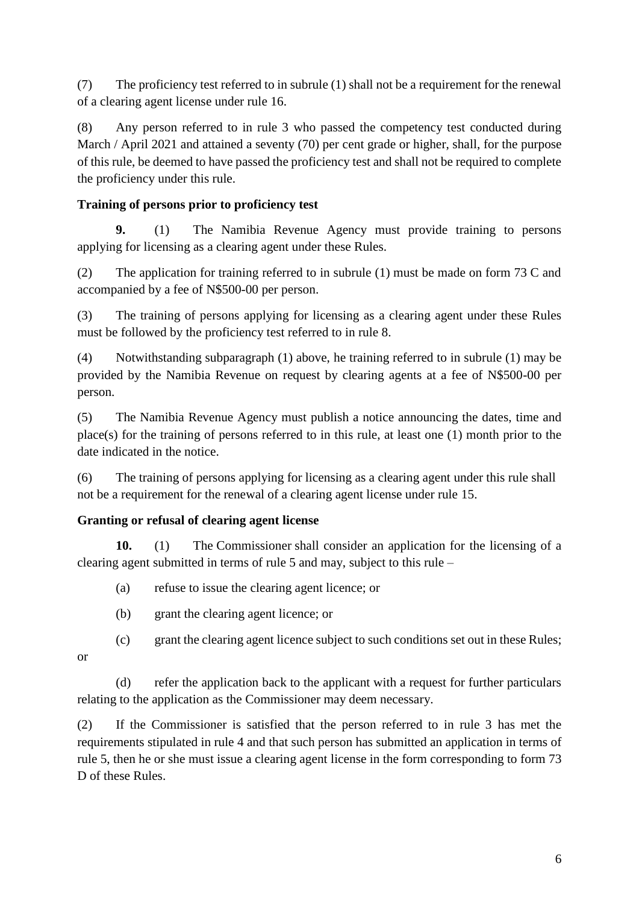(7) The proficiency test referred to in subrule (1) shall not be a requirement for the renewal of a clearing agent license under rule 16.

(8) Any person referred to in rule 3 who passed the competency test conducted during March / April 2021 and attained a seventy (70) per cent grade or higher, shall, for the purpose of this rule, be deemed to have passed the proficiency test and shall not be required to complete the proficiency under this rule.

# **Training of persons prior to proficiency test**

**9.** (1) The Namibia Revenue Agency must provide training to persons applying for licensing as a clearing agent under these Rules.

(2) The application for training referred to in subrule (1) must be made on form 73 C and accompanied by a fee of N\$500-00 per person.

(3) The training of persons applying for licensing as a clearing agent under these Rules must be followed by the proficiency test referred to in rule 8.

(4) Notwithstanding subparagraph (1) above, he training referred to in subrule (1) may be provided by the Namibia Revenue on request by clearing agents at a fee of N\$500-00 per person.

(5) The Namibia Revenue Agency must publish a notice announcing the dates, time and place(s) for the training of persons referred to in this rule, at least one (1) month prior to the date indicated in the notice.

(6) The training of persons applying for licensing as a clearing agent under this rule shall not be a requirement for the renewal of a clearing agent license under rule 15.

## **Granting or refusal of clearing agent license**

**10.** (1) The [Commissioner](https://namiblii.org/akn/na/act/1998/20/eng%402021-04-16#defn-term-Commissioner) shall consider an application for the licensing of a clearing agent submitted in terms of rule 5 and may, subject to this rule –

(a) refuse to issue the clearing agent licence; or

(b) grant the clearing agent licence; or

(c) grant the clearing agent licence subject to such conditions set out in these Rules; or

(d) refer the application back to the applicant with a request for further particulars relating to the application as the [Commissioner](https://namiblii.org/akn/na/act/1998/20/eng%402021-04-16#defn-term-Commissioner) may deem necessary.

(2) If the Commissioner is satisfied that the person referred to in rule 3 has met the requirements stipulated in rule 4 and that such person has submitted an application in terms of rule 5, then he or she must issue a clearing agent license in the form corresponding to form 73 D of these Rules.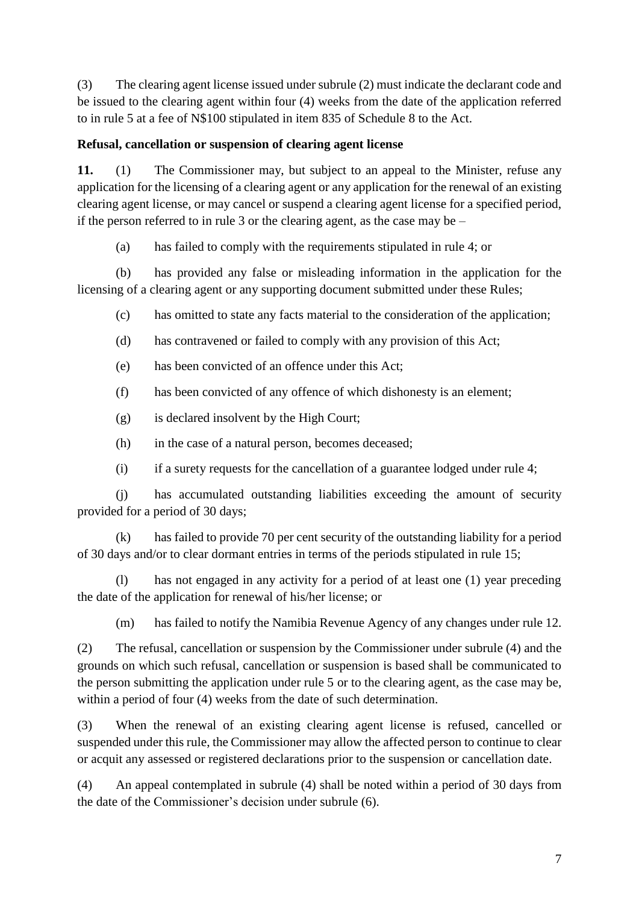(3) The clearing agent license issued under subrule (2) must indicate the declarant code and be issued to the clearing agent within four (4) weeks from the date of the application referred to in rule 5 at a fee of N\$100 stipulated in item 835 of Schedule 8 to the Act.

### **Refusal, cancellation or suspension of clearing agent license**

**11.** (1) The Commissioner may, but subject to an appeal to the Minister, refuse any application for the licensing of a clearing agent or any application for the renewal of an existing clearing agent license, or may cancel or suspend a clearing agent license for a specified period, if the person referred to in rule 3 or the clearing agent, as the case may be –

(a) has failed to comply with the requirements stipulated in rule 4; or

(b) has provided any false or misleading information in the application for the licensing of a clearing agent or any supporting document submitted under these Rules;

- (c) has omitted to state any facts material to the consideration of the application;
- (d) has contravened or failed to comply with any provision of this Act;
- (e) has been convicted of an offence under this Act;
- (f) has been convicted of any offence of which dishonesty is an element;
- (g) is declared insolvent by the High Court;
- (h) in the case of a natural person, becomes deceased;
- (i) if a surety requests for the cancellation of a guarantee lodged under rule 4;

(j) has accumulated outstanding liabilities exceeding the amount of security provided for a period of 30 days;

(k) has failed to provide 70 per cent security of the outstanding liability for a period of 30 days and/or to clear dormant entries in terms of the periods stipulated in rule 15;

(l) has not engaged in any activity for a period of at least one (1) year preceding the date of the application for renewal of his/her license; or

(m) has failed to notify the Namibia Revenue Agency of any changes under rule 12.

(2) The refusal, cancellation or suspension by the Commissioner under subrule (4) and the grounds on which such refusal, cancellation or suspension is based shall be communicated to the person submitting the application under rule 5 or to the clearing agent, as the case may be, within a period of four (4) weeks from the date of such determination.

(3) When the renewal of an existing clearing agent license is refused, cancelled or suspended under this rule, the Commissioner may allow the affected person to continue to clear or acquit any assessed or registered declarations prior to the suspension or cancellation date.

(4) An appeal contemplated in subrule (4) shall be noted within a period of 30 days from the date of the Commissioner's decision under subrule (6).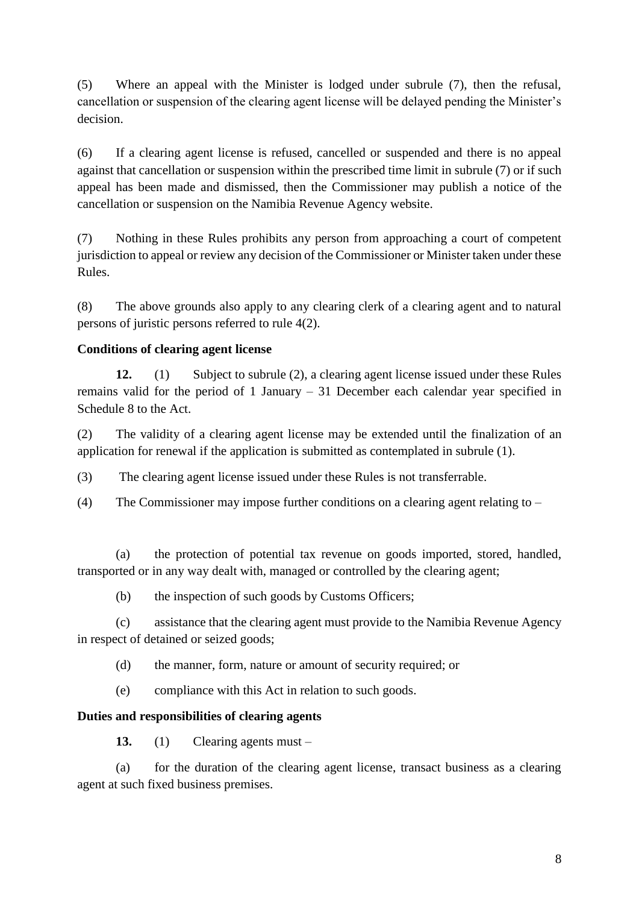(5) Where an appeal with the Minister is lodged under subrule (7), then the refusal, cancellation or suspension of the clearing agent license will be delayed pending the Minister's decision.

(6) If a clearing agent license is refused, cancelled or suspended and there is no appeal against that cancellation or suspension within the prescribed time limit in subrule (7) or if such appeal has been made and dismissed, then the Commissioner may publish a notice of the cancellation or suspension on the Namibia Revenue Agency website.

(7) Nothing in these Rules prohibits any person from approaching a court of competent jurisdiction to appeal or review any decision of the Commissioner or Minister taken under these Rules.

(8) The above grounds also apply to any clearing clerk of a clearing agent and to natural persons of juristic persons referred to rule 4(2).

## **Conditions of clearing agent license**

**12.** (1) Subject to subrule (2), a clearing agent license issued under these Rules remains valid for the period of 1 January – 31 December each calendar year specified in Schedule 8 to the Act.

(2) The validity of a clearing agent license may be extended until the finalization of an application for renewal if the application is submitted as contemplated in subrule (1).

(3) The clearing agent license issued under these Rules is not transferrable.

(4) The Commissioner may impose further conditions on a clearing agent relating to –

(a) the protection of potential tax revenue on goods imported, stored, handled, transported or in any way dealt with, managed or controlled by the clearing agent;

(b) the inspection of such goods by Customs Officers;

(c) assistance that the clearing agent must provide to the Namibia Revenue Agency in respect of detained or seized goods;

(d) the manner, form, nature or amount of security required; or

(e) compliance with this Act in relation to such goods.

## **Duties and responsibilities of clearing agents**

**13.** (1) Clearing agents must –

(a) for the duration of the clearing agent license, transact business as a clearing agent at such fixed business premises.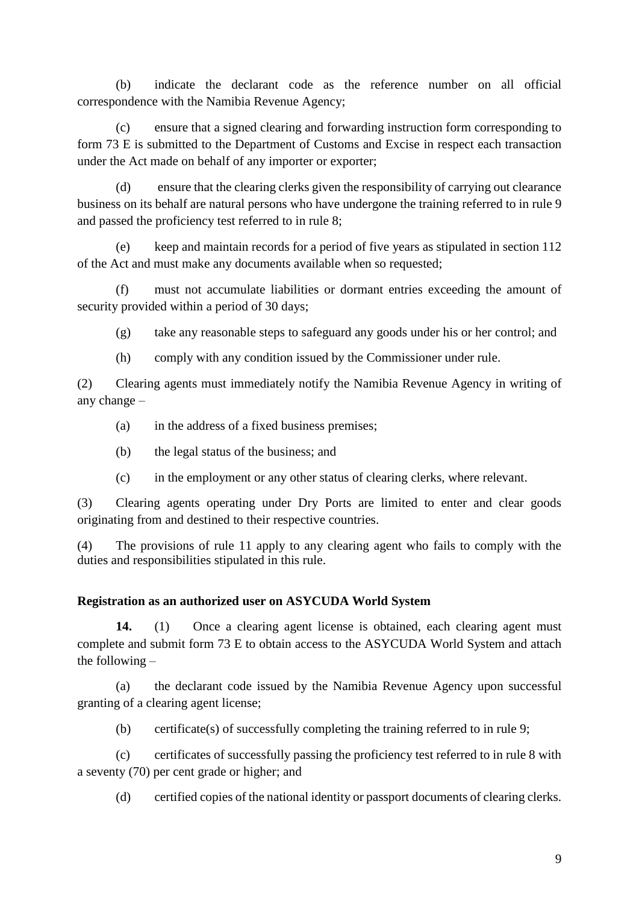(b) indicate the declarant code as the reference number on all official correspondence with the Namibia Revenue Agency;

(c) ensure that a signed clearing and forwarding instruction form corresponding to form 73 E is submitted to the Department of Customs and Excise in respect each transaction under the Act made on behalf of any importer or exporter;

(d) ensure that the clearing clerks given the responsibility of carrying out clearance business on its behalf are natural persons who have undergone the training referred to in rule 9 and passed the proficiency test referred to in rule 8;

(e) keep and maintain records for a period of five years as stipulated in section 112 of the Act and must make any documents available when so requested;

(f) must not accumulate liabilities or dormant entries exceeding the amount of security provided within a period of 30 days;

(g) take any reasonable steps to safeguard any goods under his or her control; and

(h) comply with any condition issued by the Commissioner under rule.

(2) Clearing agents must immediately notify the Namibia Revenue Agency in writing of any change –

- (a) in the address of a fixed business premises;
- (b) the legal status of the business; and
- (c) in the employment or any other status of clearing clerks, where relevant.

(3) Clearing agents operating under Dry Ports are limited to enter and clear goods originating from and destined to their respective countries.

(4) The provisions of rule 11 apply to any clearing agent who fails to comply with the duties and responsibilities stipulated in this rule.

### **Registration as an authorized user on ASYCUDA World System**

**14.** (1) Once a clearing agent license is obtained, each clearing agent must complete and submit form 73 E to obtain access to the ASYCUDA World System and attach the following –

(a) the declarant code issued by the Namibia Revenue Agency upon successful granting of a clearing agent license;

(b) certificate(s) of successfully completing the training referred to in rule 9;

(c) certificates of successfully passing the proficiency test referred to in rule 8 with a seventy (70) per cent grade or higher; and

(d) certified copies of the national identity or passport documents of clearing clerks.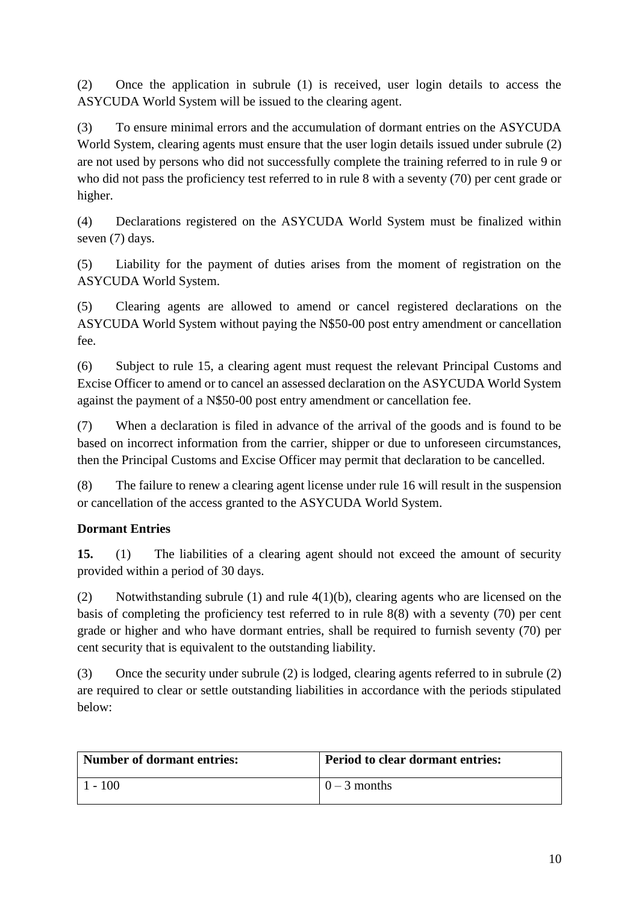(2) Once the application in subrule (1) is received, user login details to access the ASYCUDA World System will be issued to the clearing agent.

(3) To ensure minimal errors and the accumulation of dormant entries on the ASYCUDA World System, clearing agents must ensure that the user login details issued under subrule (2) are not used by persons who did not successfully complete the training referred to in rule 9 or who did not pass the proficiency test referred to in rule 8 with a seventy (70) per cent grade or higher.

(4) Declarations registered on the ASYCUDA World System must be finalized within seven (7) days.

(5) Liability for the payment of duties arises from the moment of registration on the ASYCUDA World System.

(5) Clearing agents are allowed to amend or cancel registered declarations on the ASYCUDA World System without paying the N\$50-00 post entry amendment or cancellation fee.

(6) Subject to rule 15, a clearing agent must request the relevant Principal Customs and Excise Officer to amend or to cancel an assessed declaration on the ASYCUDA World System against the payment of a N\$50-00 post entry amendment or cancellation fee.

(7) When a declaration is filed in advance of the arrival of the goods and is found to be based on incorrect information from the carrier, shipper or due to unforeseen circumstances, then the Principal Customs and Excise Officer may permit that declaration to be cancelled.

(8) The failure to renew a clearing agent license under rule 16 will result in the suspension or cancellation of the access granted to the ASYCUDA World System.

# **Dormant Entries**

**15.** (1) The liabilities of a clearing agent should not exceed the amount of security provided within a period of 30 days.

(2) Notwithstanding subrule  $(1)$  and rule  $4(1)(b)$ , clearing agents who are licensed on the basis of completing the proficiency test referred to in rule 8(8) with a seventy (70) per cent grade or higher and who have dormant entries, shall be required to furnish seventy (70) per cent security that is equivalent to the outstanding liability.

(3) Once the security under subrule (2) is lodged, clearing agents referred to in subrule (2) are required to clear or settle outstanding liabilities in accordance with the periods stipulated below:

| <b>Number of dormant entries:</b> | <b>Period to clear dormant entries:</b> |
|-----------------------------------|-----------------------------------------|
| 100                               | $0 - 3$ months                          |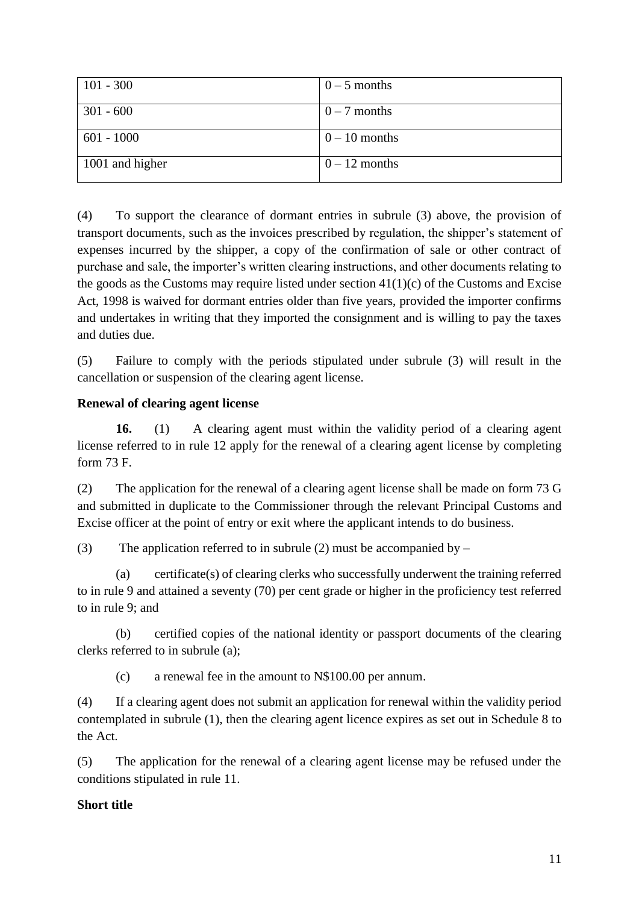| $101 - 300$     | $0 - 5$ months  |
|-----------------|-----------------|
| $301 - 600$     | $0 - 7$ months  |
| $601 - 1000$    | $0 - 10$ months |
| 1001 and higher | $0-12$ months   |

(4) To support the clearance of dormant entries in subrule (3) above, the provision of transport documents, such as the invoices prescribed by regulation, the shipper's statement of expenses incurred by the shipper, a copy of the confirmation of sale or other contract of purchase and sale, the importer's written clearing instructions, and other documents relating to the goods as the Customs may require listed under section  $41(1)(c)$  of the Customs and Excise Act, 1998 is waived for dormant entries older than five years, provided the importer confirms and undertakes in writing that they imported the consignment and is willing to pay the taxes and duties due.

(5) Failure to comply with the periods stipulated under subrule (3) will result in the cancellation or suspension of the clearing agent license.

## **Renewal of clearing agent license**

**16.** (1) A clearing agent must within the validity period of a clearing agent license referred to in rule 12 apply for the renewal of a clearing agent license by completing form 73 F.

(2) The application for the renewal of a clearing agent license shall be made on form 73 G and submitted in duplicate to the Commissioner through the relevant Principal Customs and Excise officer at the point of entry or exit where the applicant intends to do business.

(3) The application referred to in subrule (2) must be accompanied by  $-$ 

(a) certificate(s) of clearing clerks who successfully underwent the training referred to in rule 9 and attained a seventy (70) per cent grade or higher in the proficiency test referred to in rule 9; and

(b) certified copies of the national identity or passport documents of the clearing clerks referred to in subrule (a);

(c) a renewal fee in the amount to N\$100.00 per annum.

(4) If a clearing agent does not submit an application for renewal within the validity period contemplated in subrule (1), then the clearing agent licence expires as set out in Schedule 8 to the Act.

(5) The application for the renewal of a clearing agent license may be refused under the conditions stipulated in rule 11.

## **Short title**